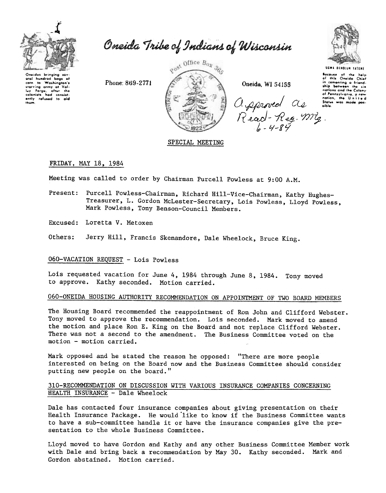

Oneida Tribe of Indians of Wisconsin

Oneidas brinaina ser oral hundred bags of corn to Washington's<br>starving army at Vali-<br>luy Forge, after the<br>colonists had consist-<br>ently refused to aid them.

Phone: 869-2771



Oneida, WI 54155

Approved CL<br>Read-Reg. my



Bocause of the help<br>of this Oneida Chief in comonting a friend. ship between the nations and the Colony of Pennsylvania, a new nation, the United Status was made pos-

# SPECIAL MEETING

### FRIDAY, MAY 18, 1984

Meeting was called to order by Chairman Purcell Powless at 9:00 A.M.

- Present: Purcell Powless-Chairman, Richard Hill-Vice-Chairman, Kathy Hughes-Treasurer, L. Gordon McLester-Secretary, Lois Powless, Lloyd Powless, Mark Powless, Tony Benson-Council Members.
- Excused: Loretta V. Metoxen

Others: Jerry Hill, Francis Skenandore, Dale Wheelock, Bruce King.

## 060-VACATION REQUEST - Lois Powless

Lois requested vacation for June 4, 1984 through June 8, 1984. Tony moved to approve. Kathy seconded. Motion carried.

# 060-ONEIDA HOUSING AUTHORITY RECOMMENDATION ON APPOINTMENT OF TWO BOARD MEMBERS

The Housing Board recommended the reappointment of Ron John and Clifford Webster. Tony moved to approve the recommendation. Lois seconded. Mark moved to amend the motion and place Ron E. King on the Board and not replace Clifford Webster. There was not a second to the amendment. The Business Committee voted on the motion - motion carried.

Mark opposed and he stated the reason he opposed: "There are more people interested on being on the Board now and the Business Committee should consider putting new people on the board."

### 310-RECOMMENDATION ON DISCUSSION WITH VARIOUS INSURANCE COMPANIES CONCERNING HEALTH INSURANCE - Dale Wheelock

Dale has contacted four insurance companies about giving presentation on their Health Insurance Package. He would like to know if the Business Committee wants to have a sub-committee handle it or have the insurance companies give the presentation to the whole Business Committee.

Lloyd moved to have Gordon and Kathy and any other Business Committee Member work with Dale and bring back a recommendation by May 30. Kathy seconded. Mark and Gordon abstained. Motion carried.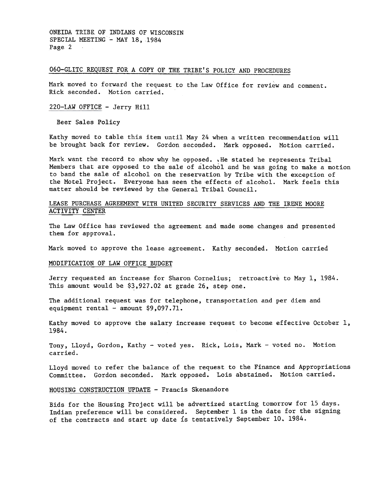ONEIDA TRIBE OF INDIANS OF WISCONSIN SPECIAL MEETING - MAY 18, 1984 Page 2  $\sim 100$ 

# 060-GLITC REQUEST FOR A COpy OF THE TRIBE'S POLICY AND PROCEDURES

Mark moved to forward the request to the Law Office for review and comment. Rick seconded. Motion carried.

#### 220-LAW OFFICE -Jerry Hill

Beer Sales Policy

Kathy moved to table this item until May 24 when a written recommendation will be brought back for review. Gordon seconded. Mark opposed. Motion carried.

Mark want the record to show why he opposed. . He stated he represents Tribal Members that are opposed to the sale of alcohol and he was going to make a motion to band the sale of alcohol on the reservation by Tribe with the exception of the Motel Project. Everyone has seen the effects of alcohol. Mark feels this matter should be reviewed by the General Tribal Council.

### LEASE PURCHASE AGREEMENT WITH UNITED SECURITY SERVICES AND THE IRENE MOORE ACTIVITY CENTER

The Law Office has reviewed the agreement and made some changes and presented them for approval.

Mark moved to approve the lease agreement. Kathy seconded. Motion carried

#### MODIFICATION OF LAW OFFICE BUDGET

Jerry requested an increase for Sharon Cornelius; retroactive to May 1,1984. This amount would be \$3,927.02 at grade 26, step one.

The additional request was for telephone, transportation and per diem and equipment rental - amount  $$9,097.71$ .

Kathy moved to approve the salary increase request to become effective October  $1$ , 1984.

Tony, Lloyd, Gordon, Kathy - voted yes. Rick, Lois, Mark - voted no. Motion carried.

Lloyd moved to refer the balance of the request to the Finance and Appropriations Committee. Gordon seconded. Mark opposed. Lois abstained. Motion carried.

## HOUSING CONSTRUCTION UPDATE - Francis Skenandore

Bids for the Housing Project will be advertized starting tomorrow for 15 days. Indian preference will be considered. September 1 is the date for the signing of the contracts and start up date is tentatively September 10,1984.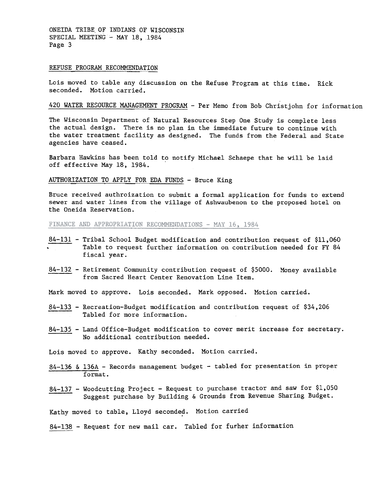ONEIDA TRIBE, OF INDIANS OF WISCONSIN SPECIAL MEETING - MAY 18, 1984 Page 3

#### REFUSE PROGRAM RECOMMENDATION

Lois moved to table any discussion on the Refuse Program at this time. Rick seconded. Motion carried.

# 420 WATER RESOURCE MANAGEMENT PROGRAM - Per Memo from Bob Christjohn for information

The Wisconsin Department of Natural Resources Step One Study is complete less the actual design. There is no plan in the immediate future to continue with the water treatment facility as designed. The funds from the Federal and State agencies have ceased.

Barbara Hawkins has been told to notify Michael Schaepe that he will be laid off effective May 18,1984.

### AUTHORIZATION TO APPLY FOR EDA FUNDS - Bruce King

Bruce received authroization to submit a formal application for funds to extend sewer and water lines from the village of Ashwaubenon to the proposed hotel on the Oneida Reservation.

FINANCE AND APPROPRIATION RECOMMENDATIONS - MAY 16, 1984

- $84-131$  Tribal School Budget modification and contribution request of  $$11,060$ . Table to request further information on contribution needed for FY 84 fiscal year.
- 84-132 Retirement Community contribution request of \$5000. Money availal from Sacred Heart Center Renovation Line Item.

Mark moved to approve. Lois seconded. Mark opposed. Motion carried.

- 84-133 -Recreation-Budget modification and contribution request of \$34,206 Tabled for more information.
- 84-135 -Land Office-Budget modification to cover merit increase for secretary. No additional contribution needed.

Lois moved to approve. Kathy seconded. Motion carried.

- 84-136 & 136A Records management budget tabled for presentation in proper format.
- 84-137 Woodcutting Project Request to purchase tractor and saw for \$1,050 Suggest purchase by Building & Grounds from Revenue Sharing Budget.

Kathy moved to table, Lloyd seconded. Motion carried

84-138 - Request for new mail car. Tabled for furher information